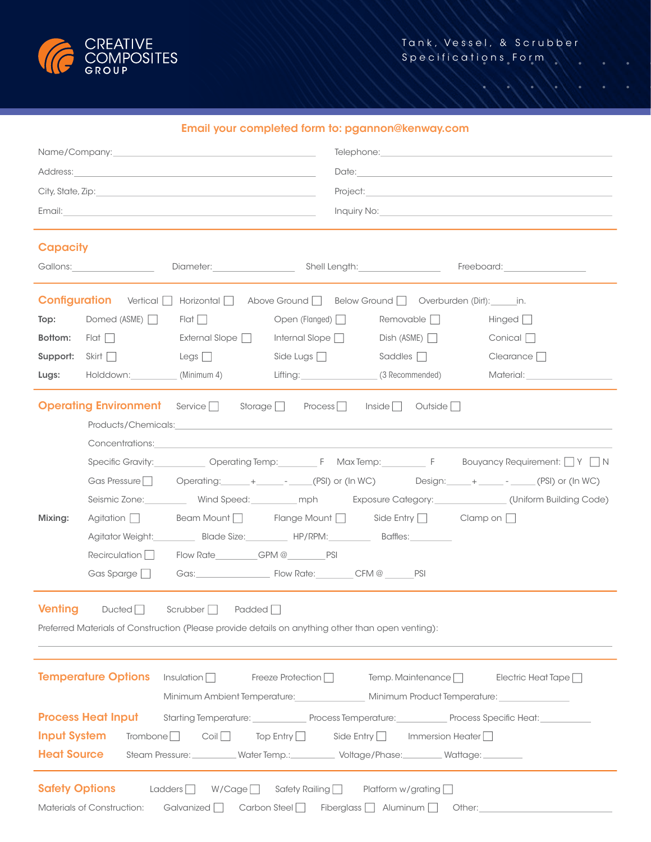

| Email your completed form to: pgannon@kenway.com |  |
|--------------------------------------------------|--|
|--------------------------------------------------|--|

|                                                                                                                                                                                                                                                                                                                     |                                                                                                                                                                                                                                |                                     | Telephone: the contract of the contract of the contract of the contract of the contract of the contract of the |                                                                                                                                                                                                                                      |  |
|---------------------------------------------------------------------------------------------------------------------------------------------------------------------------------------------------------------------------------------------------------------------------------------------------------------------|--------------------------------------------------------------------------------------------------------------------------------------------------------------------------------------------------------------------------------|-------------------------------------|----------------------------------------------------------------------------------------------------------------|--------------------------------------------------------------------------------------------------------------------------------------------------------------------------------------------------------------------------------------|--|
| Address: 2008 - 2008 - 2008 - 2018 - 2019 - 2019 - 2019 - 2019 - 2019 - 2019 - 2019 - 2019 - 2019 - 2019 - 201                                                                                                                                                                                                      |                                                                                                                                                                                                                                |                                     |                                                                                                                |                                                                                                                                                                                                                                      |  |
|                                                                                                                                                                                                                                                                                                                     |                                                                                                                                                                                                                                |                                     |                                                                                                                |                                                                                                                                                                                                                                      |  |
|                                                                                                                                                                                                                                                                                                                     |                                                                                                                                                                                                                                |                                     |                                                                                                                | Inquiry No: <u>contract and a series of the series of the series of the series of the series of the series of the series of the series of the series of the series of the series of the series of the series of the series of th</u> |  |
|                                                                                                                                                                                                                                                                                                                     |                                                                                                                                                                                                                                |                                     |                                                                                                                |                                                                                                                                                                                                                                      |  |
| <b>Capacity</b>                                                                                                                                                                                                                                                                                                     |                                                                                                                                                                                                                                |                                     |                                                                                                                |                                                                                                                                                                                                                                      |  |
|                                                                                                                                                                                                                                                                                                                     | Diameter: Change of Shell Length: Change of Shell Length:<br>Gallons: <b>Example 2018</b>                                                                                                                                      |                                     |                                                                                                                | Freeboard: <b>Example</b>                                                                                                                                                                                                            |  |
|                                                                                                                                                                                                                                                                                                                     | <b>Configuration</b> Vertical   Horizontal   Above Ground   Below Ground   Overburden (Dirt): in.                                                                                                                              |                                     |                                                                                                                |                                                                                                                                                                                                                                      |  |
| Top:                                                                                                                                                                                                                                                                                                                | Domed (ASME) $\Box$<br>Flat                                                                                                                                                                                                    | Open (Flanged)                      | Removable                                                                                                      | Hinged                                                                                                                                                                                                                               |  |
| Bottom:                                                                                                                                                                                                                                                                                                             | Flat I<br>External Slope                                                                                                                                                                                                       | Internal Slope $\Box$               | Dist (ASME)                                                                                                    | Conical                                                                                                                                                                                                                              |  |
| Support:                                                                                                                                                                                                                                                                                                            | Side Lugs $\Box$<br>Skirt    <br>Legs                                                                                                                                                                                          |                                     | <b>Saddles</b>                                                                                                 | $C$ learance $\Box$                                                                                                                                                                                                                  |  |
| Lugs:                                                                                                                                                                                                                                                                                                               | Holddown: (Minimum 4)                                                                                                                                                                                                          | Lifting: (3 Recommended)            |                                                                                                                | Material: <b>Example 2014</b>                                                                                                                                                                                                        |  |
|                                                                                                                                                                                                                                                                                                                     |                                                                                                                                                                                                                                |                                     |                                                                                                                |                                                                                                                                                                                                                                      |  |
|                                                                                                                                                                                                                                                                                                                     | <b>Operating Environment</b> Service   Storage   Process   Inside   Outside                                                                                                                                                    |                                     |                                                                                                                |                                                                                                                                                                                                                                      |  |
|                                                                                                                                                                                                                                                                                                                     | Products/Chemicals: the contract of the contract of the contract of the contract of the contract of the contract of the contract of the contract of the contract of the contract of the contract of the contract of the contra |                                     |                                                                                                                |                                                                                                                                                                                                                                      |  |
|                                                                                                                                                                                                                                                                                                                     |                                                                                                                                                                                                                                |                                     |                                                                                                                |                                                                                                                                                                                                                                      |  |
|                                                                                                                                                                                                                                                                                                                     |                                                                                                                                                                                                                                |                                     |                                                                                                                |                                                                                                                                                                                                                                      |  |
|                                                                                                                                                                                                                                                                                                                     | Gas Pressure $\Box$ Operating: $+$ $   (PSI)$ or (In WC) Design: $ +$ $   (PSI)$ or (In WC)                                                                                                                                    |                                     |                                                                                                                |                                                                                                                                                                                                                                      |  |
|                                                                                                                                                                                                                                                                                                                     | Seismic Zone: ____________ Wind Speed: ___________ mph ______ Exposure Category: _______________(Uniform Building Code)                                                                                                        |                                     |                                                                                                                |                                                                                                                                                                                                                                      |  |
| Mixing:                                                                                                                                                                                                                                                                                                             | Agitation Beam Mount   Flange Mount   Side Entry   Clamp on $\Box$                                                                                                                                                             |                                     |                                                                                                                |                                                                                                                                                                                                                                      |  |
|                                                                                                                                                                                                                                                                                                                     | Agitator Weight: Blade Size: HP/RPM: Baffles: Baffles:                                                                                                                                                                         |                                     |                                                                                                                |                                                                                                                                                                                                                                      |  |
|                                                                                                                                                                                                                                                                                                                     | Recirculation    <br>Flow Rate GPM @ PSI                                                                                                                                                                                       |                                     |                                                                                                                |                                                                                                                                                                                                                                      |  |
|                                                                                                                                                                                                                                                                                                                     | Gas Sparge                                                                                                                                                                                                                     |                                     |                                                                                                                |                                                                                                                                                                                                                                      |  |
| <b>Venting</b>                                                                                                                                                                                                                                                                                                      | Ducted<br>$Scrubber \n\begin{bmatrix} \n\end{bmatrix}$ Padded $\begin{bmatrix} \n\end{bmatrix}$                                                                                                                                |                                     |                                                                                                                |                                                                                                                                                                                                                                      |  |
|                                                                                                                                                                                                                                                                                                                     |                                                                                                                                                                                                                                |                                     |                                                                                                                |                                                                                                                                                                                                                                      |  |
| Preferred Materials of Construction (Please provide details on anything other than open venting):                                                                                                                                                                                                                   |                                                                                                                                                                                                                                |                                     |                                                                                                                |                                                                                                                                                                                                                                      |  |
|                                                                                                                                                                                                                                                                                                                     |                                                                                                                                                                                                                                |                                     |                                                                                                                |                                                                                                                                                                                                                                      |  |
|                                                                                                                                                                                                                                                                                                                     | <b>Temperature Options</b><br>Insulation                                                                                                                                                                                       | Freeze Protection Temp. Maintenance |                                                                                                                | Electric Heat Tape                                                                                                                                                                                                                   |  |
|                                                                                                                                                                                                                                                                                                                     | Minimum Ambient Temperature: Minimum Product Temperature:                                                                                                                                                                      |                                     |                                                                                                                |                                                                                                                                                                                                                                      |  |
| <b>Process Heat Input</b><br>Starting Temperature: Contact Process Temperature: Contact Process Specific Heat:                                                                                                                                                                                                      |                                                                                                                                                                                                                                |                                     |                                                                                                                |                                                                                                                                                                                                                                      |  |
| <b>Input System</b><br>$\mathsf{Top}$ Entry $\Box$ Side Entry $\Box$ Immersion Heater $\Box$<br>Trombone<br>Coil                                                                                                                                                                                                    |                                                                                                                                                                                                                                |                                     |                                                                                                                |                                                                                                                                                                                                                                      |  |
| <b>Heat Source</b><br>Steam Pressure: __________ Water Temp.: _________ Voltage/Phase: ________ Wattage: ________                                                                                                                                                                                                   |                                                                                                                                                                                                                                |                                     |                                                                                                                |                                                                                                                                                                                                                                      |  |
|                                                                                                                                                                                                                                                                                                                     |                                                                                                                                                                                                                                |                                     |                                                                                                                |                                                                                                                                                                                                                                      |  |
| <b>Safety Options</b><br>$L$ adders $\Box$<br>$W/Cage$ Safety Railing Platform w/grating                                                                                                                                                                                                                            |                                                                                                                                                                                                                                |                                     |                                                                                                                |                                                                                                                                                                                                                                      |  |
| Galvanized   Carbon Steel   Fiberglass   Aluminum  <br>Materials of Construction:<br>Other: the contract of the contract of the contract of the contract of the contract of the contract of the contract of the contract of the contract of the contract of the contract of the contract of the contract of the con |                                                                                                                                                                                                                                |                                     |                                                                                                                |                                                                                                                                                                                                                                      |  |